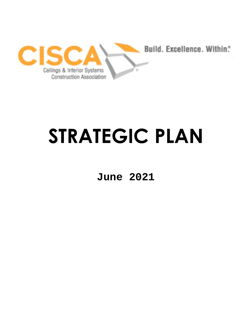

# **STRATEGIC PLAN**

**June 2021**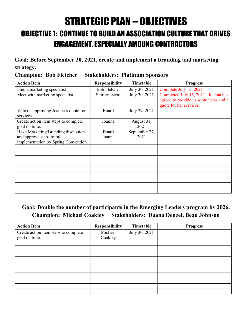# STRATEGIC PLAN – OBJECTIVES OBJECTIVE 1: CONTINUE TO BUILD AN ASSOCIATION CULTURE THAT DRIVES ENGAGEMENT, ESPECIALLY AMOUNG CONTRACTORS

## **Goal: Before September 30, 2021, create and implement a branding and marketing strategy.**

**Champion: Bob Fletcher Stakeholders: Platinum Sponsors** 

| <b>Action Item</b>                                               | <b>Responsibility</b> | Timetable          | <b>Progress</b>                                                                                         |
|------------------------------------------------------------------|-----------------------|--------------------|---------------------------------------------------------------------------------------------------------|
| Find a marketing specialist                                      | <b>Bob Fletcher</b>   | July 30, 2021      | Complete July 15, 2021                                                                                  |
| Meet with marketing specialist                                   | Shirley, Scott        | July 30, 2021      | Completed July 15, 2021. Joanna has<br>agreed to provide us some ideas and a<br>quote for her services. |
| Vote on approving Joanna's quote for<br>services                 | Board                 | July 29, 2021      |                                                                                                         |
| Create action item steps to complete<br>goal on time.            | Joanna                | August 31,<br>2021 |                                                                                                         |
| Have Marketing/Branding discussion                               | Board                 | September 27,      |                                                                                                         |
| and approve steps to full<br>implementation by Spring Convention | Joanna                | 2021               |                                                                                                         |
|                                                                  |                       |                    |                                                                                                         |
|                                                                  |                       |                    |                                                                                                         |
|                                                                  |                       |                    |                                                                                                         |
|                                                                  |                       |                    |                                                                                                         |
|                                                                  |                       |                    |                                                                                                         |
|                                                                  |                       |                    |                                                                                                         |

# **Goal: Double the number of participants in the Emerging Leaders program by 2026. Champion: Michael Coakley Stakeholders: Daana Denzel, Beau Johnson**

| <b>Action Item</b>                   | <b>Responsibility</b> | Timetable     | <b>Progress</b> |
|--------------------------------------|-----------------------|---------------|-----------------|
| Create action item steps to complete | Michael               | July 30, 2021 |                 |
| goal on time.                        | Coakley               |               |                 |
|                                      |                       |               |                 |
|                                      |                       |               |                 |
|                                      |                       |               |                 |
|                                      |                       |               |                 |
|                                      |                       |               |                 |
|                                      |                       |               |                 |
|                                      |                       |               |                 |
|                                      |                       |               |                 |
|                                      |                       |               |                 |
|                                      |                       |               |                 |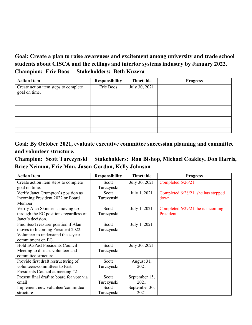### **Goal: Create a plan to raise awareness and excitement among university and trade school students about CISCA and the ceilings and interior systems industry by January 2022. Champion: Eric Boos Stakeholders: Beth Kuzera**

| <b>Action Item</b>                                    | <b>Responsibility</b> | Timetable     | <b>Progress</b> |
|-------------------------------------------------------|-----------------------|---------------|-----------------|
| Create action item steps to complete<br>goal on time. | Eric Boos             | July 30, 2021 |                 |
|                                                       |                       |               |                 |
|                                                       |                       |               |                 |
|                                                       |                       |               |                 |
|                                                       |                       |               |                 |
|                                                       |                       |               |                 |
|                                                       |                       |               |                 |
|                                                       |                       |               |                 |

**Goal: By October 2021, evaluate executive committee succession planning and committee and volunteer structure.** 

**Champion: Scott Turczynski Stakeholders: Ron Bishop, Michael Coakley, Don Harris, Brice Neiman, Eric Mau, Jason Gordon, Kelly Johnson**

| <b>Action Item</b>                        | <b>Responsibility</b> | Timetable     | <b>Progress</b>                    |
|-------------------------------------------|-----------------------|---------------|------------------------------------|
| Create action item steps to complete      | Scott                 | July 30, 2021 | Completed 6/26/21                  |
| goal on time.                             | Turczynski            |               |                                    |
| Verify Janet Crumpton's position as       | Scott                 | July 1, 2021  | Completed 6/28/21, she has stepped |
| Incoming President 2022 or Board          | Turczynski            |               | down                               |
| Member                                    |                       |               |                                    |
| Verify Alan Skinner is moving up          | Scott                 | July 1, 2021  | Completed 6/29/21, he is incoming  |
| through the EC positions regardless of    | Turczynski            |               | President                          |
| Janet's decision.                         |                       |               |                                    |
| Find Sec/Treasurer position if Alan       | Scott                 | July 1, 2021  |                                    |
| moves to Incoming President 2022.         | Turczynski            |               |                                    |
| Volunteer to understand the 4-year        |                       |               |                                    |
| commitment on EC.                         |                       |               |                                    |
| Hold EC/Past Presidents Council           | Scott                 | July 30, 2021 |                                    |
| Meeting to discuss volunteer and          | Turczynski            |               |                                    |
| committee structure.                      |                       |               |                                    |
| Provide first draft restructuring of      | Scott                 | August 31,    |                                    |
| volunteers/committees to Past             | Turczynski            | 2021          |                                    |
| Presidents Council at meeting #2          |                       |               |                                    |
| Present final draft to board for vote via | Scott                 | September 15, |                                    |
| email                                     | Turczynski            | 2021          |                                    |
| Implement new volunteer/committee         | Scott                 | September 30, |                                    |
| structure                                 | Turczynski            | 2021          |                                    |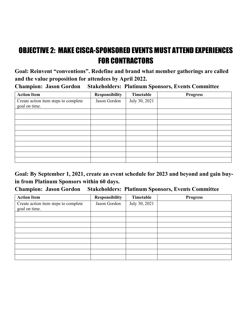# OBJECTIVE 2: MAKE CISCA-SPONSORED EVENTS MUST ATTEND EXPERIENCES FOR CONTRACTORS

**Goal: Reinvent "conventions". Redefine and brand what member gatherings are called and the value proposition for attendees by April 2022.** 

**Champion: Jason Gordon Stakeholders: Platinum Sponsors, Events Committee** 

| <b>Action Item</b>                                    | <b>Responsibility</b> | Timetable     | <b>Progress</b> |
|-------------------------------------------------------|-----------------------|---------------|-----------------|
| Create action item steps to complete<br>goal on time. | Jason Gordon          | July 30, 2021 |                 |
|                                                       |                       |               |                 |
|                                                       |                       |               |                 |
|                                                       |                       |               |                 |
|                                                       |                       |               |                 |
|                                                       |                       |               |                 |
|                                                       |                       |               |                 |
|                                                       |                       |               |                 |
|                                                       |                       |               |                 |
|                                                       |                       |               |                 |
|                                                       |                       |               |                 |

**Goal: By September 1, 2021, create an event schedule for 2023 and beyond and gain buyin from Platinum Sponsors within 60 days.** 

**Champion: Jason Gordon Stakeholders: Platinum Sponsors, Events Committee** 

| <b>Action Item</b>                                    | <b>Responsibility</b> | Timetable     | <b>Progress</b> |
|-------------------------------------------------------|-----------------------|---------------|-----------------|
| Create action item steps to complete<br>goal on time. | Jason Gordon          | July 30, 2021 |                 |
|                                                       |                       |               |                 |
|                                                       |                       |               |                 |
|                                                       |                       |               |                 |
|                                                       |                       |               |                 |
|                                                       |                       |               |                 |
|                                                       |                       |               |                 |
|                                                       |                       |               |                 |
|                                                       |                       |               |                 |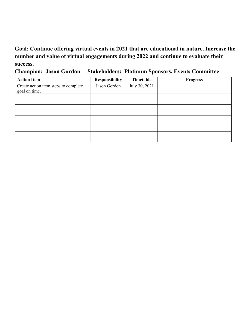# **Goal: Continue offering virtual events in 2021 that are educational in nature. Increase the number and value of virtual engagements during 2022 and continue to evaluate their success.**

**Champion: Jason Gordon Stakeholders: Platinum Sponsors, Events Committee** 

| <b>Action Item</b>                                    | <b>Responsibility</b> | Timetable     | <b>Progress</b> |
|-------------------------------------------------------|-----------------------|---------------|-----------------|
| Create action item steps to complete<br>goal on time. | Jason Gordon          | July 30, 2021 |                 |
|                                                       |                       |               |                 |
|                                                       |                       |               |                 |
|                                                       |                       |               |                 |
|                                                       |                       |               |                 |
|                                                       |                       |               |                 |
|                                                       |                       |               |                 |
|                                                       |                       |               |                 |
|                                                       |                       |               |                 |
|                                                       |                       |               |                 |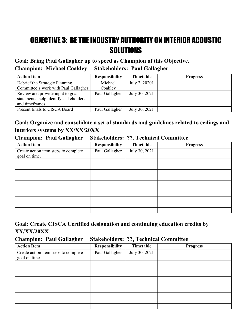# OBJECTIVE 3: BE THE INDUSTRY AUTHORITY ON INTERIOR ACOUSTIC **SOLUTIONS**

**Goal: Bring Paul Gallagher up to speed as Champion of this Objective. Champion: Michael Coakley Stakeholders: Paul Gallagher** 

| <b>Action Item</b>                     | <b>Responsibility</b> | Timetable     | <b>Progress</b> |
|----------------------------------------|-----------------------|---------------|-----------------|
| Debrief the Strategic Planning         | Michael               | July 2, 20201 |                 |
| Committee's work with Paul Gallagher   | Coakley               |               |                 |
| Review and provide input to goal       | Paul Gallagher        | July 30, 2021 |                 |
| statements, help identify stakeholders |                       |               |                 |
| and timeframes                         |                       |               |                 |
| Present finals to CISCA Board          | Paul Gallagher        | July 30, 2021 |                 |

## **Goal: Organize and consolidate a set of standards and guidelines related to ceilings and interiors systems by XX/XX/20XX**

#### **Champion: Paul Gallagher Stakeholders: ??, Technical Committee**

| <b>Action Item</b>                                    | <b>Responsibility</b> | Timetable     | <b>Progress</b> |
|-------------------------------------------------------|-----------------------|---------------|-----------------|
| Create action item steps to complete<br>goal on time. | Paul Gallagher        | July 30, 2021 |                 |
|                                                       |                       |               |                 |
|                                                       |                       |               |                 |
|                                                       |                       |               |                 |
|                                                       |                       |               |                 |
|                                                       |                       |               |                 |
|                                                       |                       |               |                 |
|                                                       |                       |               |                 |
|                                                       |                       |               |                 |
|                                                       |                       |               |                 |
|                                                       |                       |               |                 |

#### **Goal: Create CISCA Certified designation and continuing education credits by XX/XX/20XX**

#### **Champion: Paul Gallagher Stakeholders: ??, Technical Committee**

| <b>Action Item</b>                                    | <b>Responsibility</b> | Timetable     | <b>Progress</b> |
|-------------------------------------------------------|-----------------------|---------------|-----------------|
| Create action item steps to complete<br>goal on time. | Paul Gallagher        | July 30, 2021 |                 |
|                                                       |                       |               |                 |
|                                                       |                       |               |                 |
|                                                       |                       |               |                 |
|                                                       |                       |               |                 |
|                                                       |                       |               |                 |
|                                                       |                       |               |                 |
|                                                       |                       |               |                 |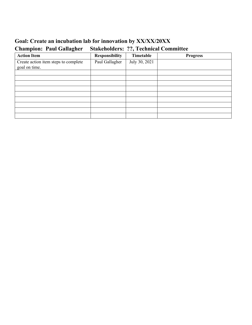# **Goal: Create an incubation lab for innovation by XX/XX/20XX Champion: Paul Gallagher Stakeholders: ??, Technical Committee**

| <b>Action Item</b>                                    | Responsibility | Timetable     | <b>Progress</b> |
|-------------------------------------------------------|----------------|---------------|-----------------|
| Create action item steps to complete<br>goal on time. | Paul Gallagher | July 30, 2021 |                 |
|                                                       |                |               |                 |
|                                                       |                |               |                 |
|                                                       |                |               |                 |
|                                                       |                |               |                 |
|                                                       |                |               |                 |
|                                                       |                |               |                 |
|                                                       |                |               |                 |
|                                                       |                |               |                 |
|                                                       |                |               |                 |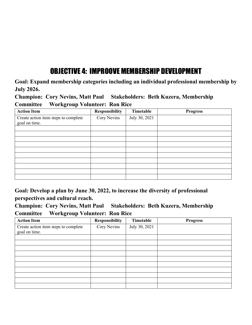# OBJECTIVE 4: IMPROOVE MEMBERSHIP DEVELOPMENT

**Goal: Expand membership categories including an individual professional membership by July 2026.** 

**Champion: Cory Nevins, Matt Paul Stakeholders: Beth Kuzera, Membership Committee Workgroup Volunteer: Ron Rice**

| <b>Action Item</b>                                    | <b>Responsibility</b> | Timetable     | <b>Progress</b> |
|-------------------------------------------------------|-----------------------|---------------|-----------------|
| Create action item steps to complete<br>goal on time. | Cory Nevins           | July 30, 2021 |                 |
|                                                       |                       |               |                 |
|                                                       |                       |               |                 |
|                                                       |                       |               |                 |
|                                                       |                       |               |                 |
|                                                       |                       |               |                 |
|                                                       |                       |               |                 |
|                                                       |                       |               |                 |
|                                                       |                       |               |                 |
|                                                       |                       |               |                 |
|                                                       |                       |               |                 |

**Goal: Develop a plan by June 30, 2022, to increase the diversity of professional perspectives and cultural reach.** 

**Champion: Cory Nevins, Matt Paul Stakeholders: Beth Kuzera, Membership Committee Workgroup Volunteer: Ron Rice**

| <b>Action Item</b>                                    | Responsibility | Timetable     | <b>Progress</b> |
|-------------------------------------------------------|----------------|---------------|-----------------|
| Create action item steps to complete<br>goal on time. | Cory Nevins    | July 30, 2021 |                 |
|                                                       |                |               |                 |
|                                                       |                |               |                 |
|                                                       |                |               |                 |
|                                                       |                |               |                 |
|                                                       |                |               |                 |
|                                                       |                |               |                 |
|                                                       |                |               |                 |
|                                                       |                |               |                 |
|                                                       |                |               |                 |